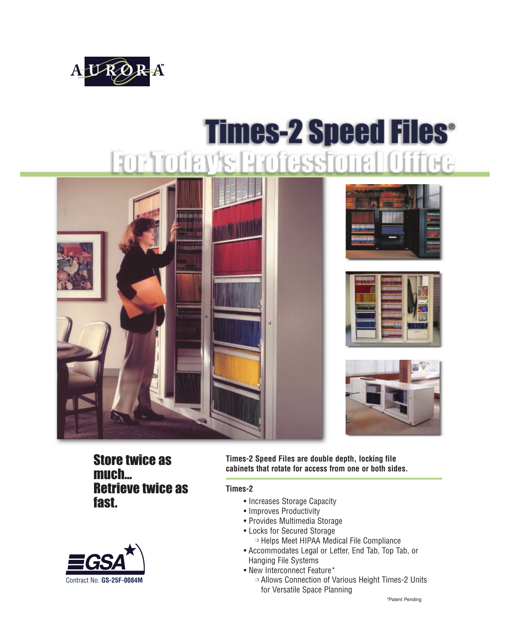

# **Times-2 Speed Files®** FOR TOORIY'S PROfessione









Store twice as much... Retrieve twice as fast.



**Times-2 Speed Files are double depth, locking file cabinets that rotate for access from one or both sides.** 

#### **Times-2**

- Increases Storage Capacity
- Improves Productivity
- Provides Multimedia Storage
- Locks for Secured Storage
	- ❍ Helps Meet HIPAA Medical File Compliance
- Accommodates Legal or Letter, End Tab, Top Tab, or Hanging File Systems
- New Interconnect Feature\*
	- ❍ Allows Connection of Various Height Times-2 Units for Versatile Space Planning